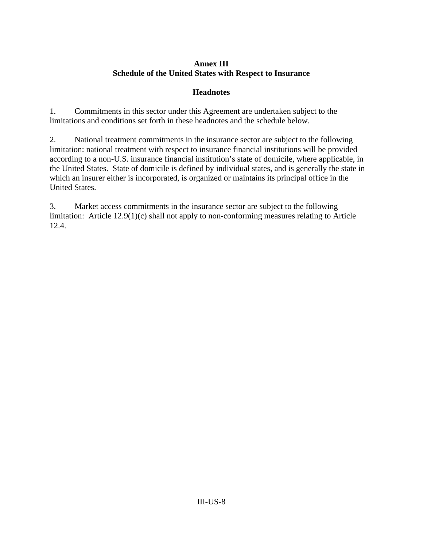## **Annex III Schedule of the United States with Respect to Insurance**

## **Headnotes**

1. Commitments in this sector under this Agreement are undertaken subject to the limitations and conditions set forth in these headnotes and the schedule below.

2. National treatment commitments in the insurance sector are subject to the following limitation: national treatment with respect to insurance financial institutions will be provided according to a non-U.S. insurance financial institution's state of domicile, where applicable, in the United States. State of domicile is defined by individual states, and is generally the state in which an insurer either is incorporated, is organized or maintains its principal office in the United States.

3. Market access commitments in the insurance sector are subject to the following limitation: Article 12.9(1)(c) shall not apply to non-conforming measures relating to Article 12.4.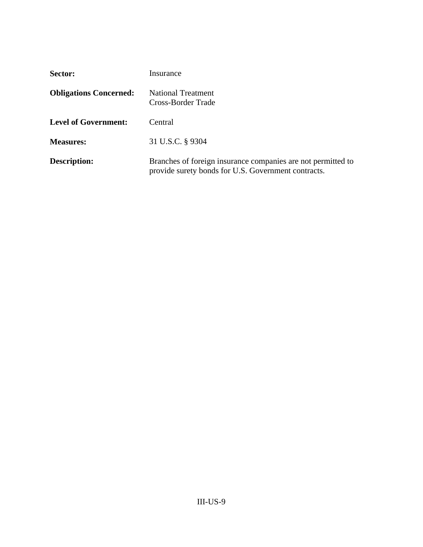| Sector:                       | Insurance                                                                                                           |
|-------------------------------|---------------------------------------------------------------------------------------------------------------------|
| <b>Obligations Concerned:</b> | <b>National Treatment</b><br>Cross-Border Trade                                                                     |
| <b>Level of Government:</b>   | Central                                                                                                             |
| <b>Measures:</b>              | 31 U.S.C. § 9304                                                                                                    |
| <b>Description:</b>           | Branches of foreign insurance companies are not permitted to<br>provide surety bonds for U.S. Government contracts. |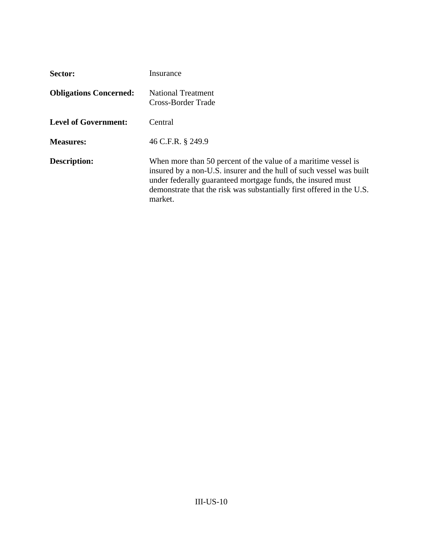| Sector:                       | Insurance                                                                                                                                                                                                                                                                                |
|-------------------------------|------------------------------------------------------------------------------------------------------------------------------------------------------------------------------------------------------------------------------------------------------------------------------------------|
| <b>Obligations Concerned:</b> | <b>National Treatment</b><br>Cross-Border Trade                                                                                                                                                                                                                                          |
| <b>Level of Government:</b>   | Central                                                                                                                                                                                                                                                                                  |
| <b>Measures:</b>              | 46 C.F.R. § 249.9                                                                                                                                                                                                                                                                        |
| <b>Description:</b>           | When more than 50 percent of the value of a maritime vessel is<br>insured by a non-U.S. insurer and the hull of such vessel was built<br>under federally guaranteed mortgage funds, the insured must<br>demonstrate that the risk was substantially first offered in the U.S.<br>market. |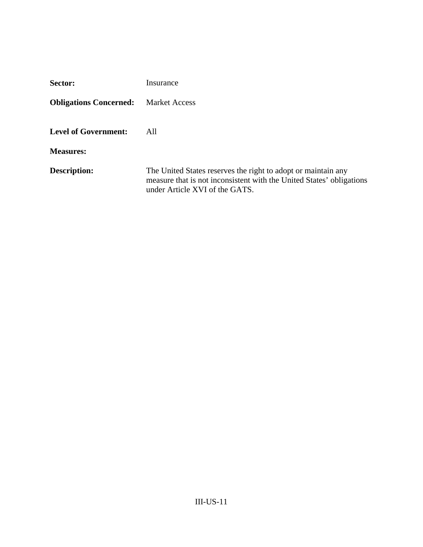| Sector:                       | Insurance                                                                                                                                                               |
|-------------------------------|-------------------------------------------------------------------------------------------------------------------------------------------------------------------------|
| <b>Obligations Concerned:</b> | <b>Market Access</b>                                                                                                                                                    |
| <b>Level of Government:</b>   | All                                                                                                                                                                     |
| <b>Measures:</b>              |                                                                                                                                                                         |
| <b>Description:</b>           | The United States reserves the right to adopt or maintain any<br>measure that is not inconsistent with the United States' obligations<br>under Article XVI of the GATS. |